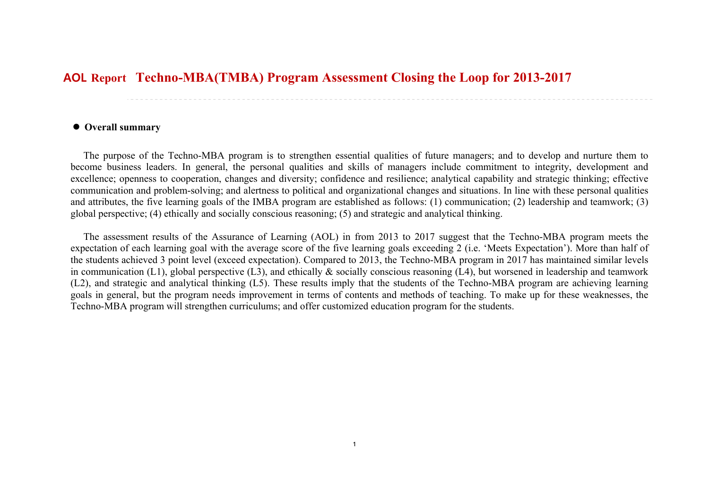## **Techno-MBA(TMBA) Program Assessment Closing the Loop for 2013-2017 AOL Report**

## **Overall summary**

The purpose of the Techno-MBA program is to strengthen essential qualities of future managers; and to develop and nurture them to become business leaders. In general, the personal qualities and skills of managers include commitment to integrity, development and excellence; openness to cooperation, changes and diversity; confidence and resilience; analytical capability and strategic thinking; effective communication and problem-solving; and alertness to political and organizational changes and situations. In line with these personal qualities and attributes, the five learning goals of the IMBA program are established as follows: (1) communication; (2) leadership and teamwork; (3) global perspective; (4) ethically and socially conscious reasoning; (5) and strategic and analytical thinking.

The assessment results of the Assurance of Learning (AOL) in from 2013 to 2017 suggest that the Techno-MBA program meets the expectation of each learning goal with the average score of the five learning goals exceeding 2 (i.e. 'Meets Expectation'). More than half of the students achieved 3 point level (exceed expectation). Compared to 2013, the Techno-MBA program in 2017 has maintained similar levels in communication (L1), global perspective (L3), and ethically & socially conscious reasoning (L4), but worsened in leadership and teamwork (L2), and strategic and analytical thinking (L5). These results imply that the students of the Techno-MBA program are achieving learning goals in general, but the program needs improvement in terms of contents and methods of teaching. To make up for these weaknesses, the Techno-MBA program will strengthen curriculums; and offer customized education program for the students.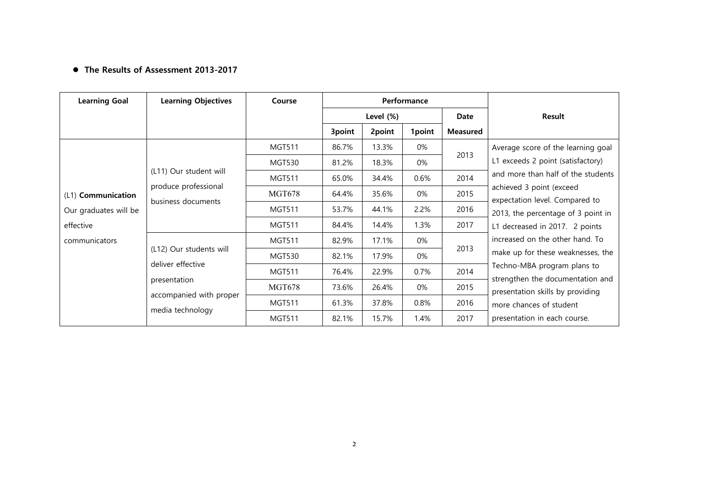## **The Results of Assessment 2013-2017**

| <b>Learning Goal</b>  | <b>Learning Objectives</b>                                           | Course        | Performance |           |        |                              |                                                                                                                                                                                                                                                                                                                                                                                    |
|-----------------------|----------------------------------------------------------------------|---------------|-------------|-----------|--------|------------------------------|------------------------------------------------------------------------------------------------------------------------------------------------------------------------------------------------------------------------------------------------------------------------------------------------------------------------------------------------------------------------------------|
|                       |                                                                      |               |             | Level (%) |        | Date                         | Result                                                                                                                                                                                                                                                                                                                                                                             |
|                       |                                                                      |               | 3point      | 2point    | 1point | <b>Measured</b>              |                                                                                                                                                                                                                                                                                                                                                                                    |
|                       |                                                                      | <b>MGT511</b> | 86.7%       | 13.3%     | 0%     |                              | Average score of the learning goal                                                                                                                                                                                                                                                                                                                                                 |
|                       | (L11) Our student will<br>produce professional<br>business documents | <b>MGT530</b> | 81.2%       | 18.3%     | 0%     | 2013                         | L1 exceeds 2 point (satisfactory)                                                                                                                                                                                                                                                                                                                                                  |
|                       |                                                                      | <b>MGT511</b> | 65.0%       | 34.4%     | 0.6%   | 2014                         | and more than half of the students<br>achieved 3 point (exceed<br>expectation level. Compared to<br>2013, the percentage of 3 point in<br>L1 decreased in 2017. 2 points<br>increased on the other hand. To<br>make up for these weaknesses, the<br>Techno-MBA program plans to<br>strengthen the documentation and<br>presentation skills by providing<br>more chances of student |
| (L1) Communication    |                                                                      | <b>MGT678</b> | 64.4%       | 35.6%     | 0%     | 2015                         |                                                                                                                                                                                                                                                                                                                                                                                    |
| Our graduates will be |                                                                      | <b>MGT511</b> | 53.7%       | 44.1%     | 2.2%   | 2016                         |                                                                                                                                                                                                                                                                                                                                                                                    |
| effective             |                                                                      | <b>MGT511</b> | 84.4%       | 14.4%     | 1.3%   | 2017                         |                                                                                                                                                                                                                                                                                                                                                                                    |
| communicators         |                                                                      | <b>MGT511</b> | 82.9%       | 17.1%     | 0%     |                              |                                                                                                                                                                                                                                                                                                                                                                                    |
|                       | (L12) Our students will<br>deliver effective                         | <b>MGT530</b> | 82.1%       | 17.9%     | 0%     | 2013                         |                                                                                                                                                                                                                                                                                                                                                                                    |
|                       |                                                                      | <b>MGT511</b> | 76.4%       | 22.9%     | 0.7%   | 2014                         |                                                                                                                                                                                                                                                                                                                                                                                    |
| presentation          |                                                                      | <b>MGT678</b> | 73.6%       | 26.4%     | 0%     | 2015                         |                                                                                                                                                                                                                                                                                                                                                                                    |
|                       | accompanied with proper                                              | <b>MGT511</b> | 61.3%       | 37.8%     | 0.8%   | 2016                         |                                                                                                                                                                                                                                                                                                                                                                                    |
| media technology      | <b>MGT511</b>                                                        | 82.1%         | 15.7%       | 1.4%      | 2017   | presentation in each course. |                                                                                                                                                                                                                                                                                                                                                                                    |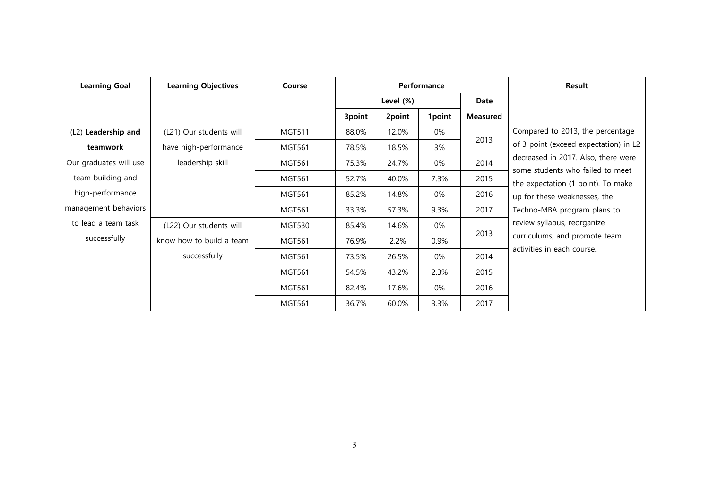| <b>Learning Goal</b>   | <b>Learning Objectives</b> | Course        | Performance |        |        | Result          |                                                                                                        |
|------------------------|----------------------------|---------------|-------------|--------|--------|-----------------|--------------------------------------------------------------------------------------------------------|
|                        |                            |               | Level (%)   |        | Date   |                 |                                                                                                        |
|                        |                            |               | 3point      | 2point | 1point | <b>Measured</b> |                                                                                                        |
| (L2) Leadership and    | (L21) Our students will    | <b>MGT511</b> | 88.0%       | 12.0%  | 0%     |                 | Compared to 2013, the percentage                                                                       |
| teamwork               | have high-performance      | <b>MGT561</b> | 78.5%       | 18.5%  | 3%     | 2013            | of 3 point (exceed expectation) in L2                                                                  |
| Our graduates will use | leadership skill           | <b>MGT561</b> | 75.3%       | 24.7%  | 0%     | 2014            | decreased in 2017. Also, there were                                                                    |
| team building and      |                            | <b>MGT561</b> | 52.7%       | 40.0%  | 7.3%   | 2015            | some students who failed to meet<br>the expectation (1 point). To make<br>up for these weaknesses, the |
| high-performance       |                            | <b>MGT561</b> | 85.2%       | 14.8%  | 0%     | 2016            |                                                                                                        |
| management behaviors   |                            | <b>MGT561</b> | 33.3%       | 57.3%  | 9.3%   | 2017            | Techno-MBA program plans to                                                                            |
| to lead a team task    | (L22) Our students will    | <b>MGT530</b> | 85.4%       | 14.6%  | 0%     |                 | review syllabus, reorganize<br>curriculums, and promote team                                           |
| successfully           | know how to build a team   | <b>MGT561</b> | 76.9%       | 2.2%   | 0.9%   | 2013            |                                                                                                        |
|                        | successfully               | <b>MGT561</b> | 73.5%       | 26.5%  | 0%     | 2014            | activities in each course.                                                                             |
|                        |                            | <b>MGT561</b> | 54.5%       | 43.2%  | 2.3%   | 2015            |                                                                                                        |
|                        |                            | <b>MGT561</b> | 82.4%       | 17.6%  | 0%     | 2016            |                                                                                                        |
|                        |                            | <b>MGT561</b> | 36.7%       | 60.0%  | 3.3%   | 2017            |                                                                                                        |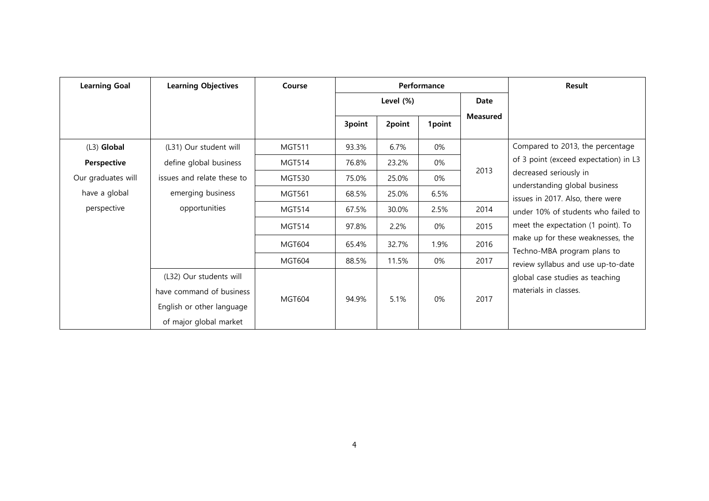| <b>Learning Goal</b> | <b>Learning Objectives</b> | Course        | Performance |        |             | Result          |                                                                                                                                    |
|----------------------|----------------------------|---------------|-------------|--------|-------------|-----------------|------------------------------------------------------------------------------------------------------------------------------------|
|                      |                            |               | Level (%)   |        | <b>Date</b> |                 |                                                                                                                                    |
|                      |                            |               | 3point      | 2point | 1point      | <b>Measured</b> |                                                                                                                                    |
| $(L3)$ Global        | (L31) Our student will     | <b>MGT511</b> | 93.3%       | 6.7%   | 0%          |                 | Compared to 2013, the percentage                                                                                                   |
| Perspective          | define global business     | <b>MGT514</b> | 76.8%       | 23.2%  | 0%          |                 | of 3 point (exceed expectation) in L3                                                                                              |
| Our graduates will   | issues and relate these to | <b>MGT530</b> | 75.0%       | 25.0%  | 0%          | 2013            | decreased seriously in<br>understanding global business<br>issues in 2017. Also, there were<br>under 10% of students who failed to |
| have a global        | emerging business          | <b>MGT561</b> | 68.5%       | 25.0%  | 6.5%        |                 |                                                                                                                                    |
| perspective          | opportunities              | <b>MGT514</b> | 67.5%       | 30.0%  | 2.5%        | 2014            |                                                                                                                                    |
|                      |                            | <b>MGT514</b> | 97.8%       | 2.2%   | 0%          | 2015            | meet the expectation (1 point). To                                                                                                 |
|                      |                            | <b>MGT604</b> | 65.4%       | 32.7%  | 1.9%        | 2016            | make up for these weaknesses, the<br>Techno-MBA program plans to<br>review syllabus and use up-to-date                             |
|                      |                            | <b>MGT604</b> | 88.5%       | 11.5%  | $0\%$       | 2017            |                                                                                                                                    |
|                      | (L32) Our students will    |               |             |        |             |                 | global case studies as teaching                                                                                                    |
|                      | have command of business   |               |             |        |             |                 | materials in classes.                                                                                                              |
|                      | English or other language  | <b>MGT604</b> | 94.9%       | 5.1%   | 0%          | 2017            |                                                                                                                                    |
|                      | of major global market     |               |             |        |             |                 |                                                                                                                                    |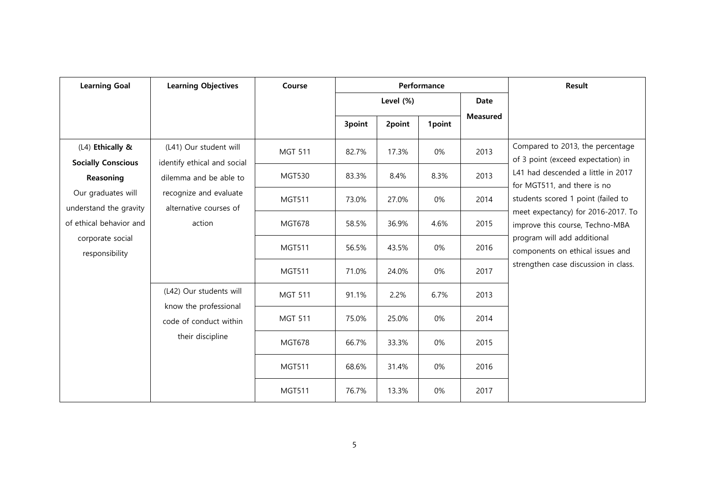| <b>Learning Goal</b>                                                                                          | <b>Learning Objectives</b>                                                                                                | Course         |           |        | Performance | Result          |                                                                                                                                                                                                                                                                                                                                                                       |
|---------------------------------------------------------------------------------------------------------------|---------------------------------------------------------------------------------------------------------------------------|----------------|-----------|--------|-------------|-----------------|-----------------------------------------------------------------------------------------------------------------------------------------------------------------------------------------------------------------------------------------------------------------------------------------------------------------------------------------------------------------------|
|                                                                                                               |                                                                                                                           |                | Level (%) |        |             | <b>Date</b>     |                                                                                                                                                                                                                                                                                                                                                                       |
|                                                                                                               |                                                                                                                           |                | 3point    | 2point | 1point      | <b>Measured</b> |                                                                                                                                                                                                                                                                                                                                                                       |
| (L4) Ethically &                                                                                              | (L41) Our student will<br><b>Socially Conscious</b><br>identify ethical and social<br>dilemma and be able to<br>Reasoning | <b>MGT 511</b> | 82.7%     | 17.3%  | 0%          | 2013            | Compared to 2013, the percentage<br>of 3 point (exceed expectation) in<br>L41 had descended a little in 2017<br>for MGT511, and there is no<br>students scored 1 point (failed to<br>meet expectancy) for 2016-2017. To<br>improve this course, Techno-MBA<br>program will add additional<br>components on ethical issues and<br>strengthen case discussion in class. |
|                                                                                                               |                                                                                                                           | <b>MGT530</b>  | 83.3%     | 8.4%   | 8.3%        | 2013            |                                                                                                                                                                                                                                                                                                                                                                       |
| Our graduates will<br>understand the gravity<br>of ethical behavior and<br>corporate social<br>responsibility | recognize and evaluate<br>alternative courses of                                                                          | <b>MGT511</b>  | 73.0%     | 27.0%  | 0%          | 2014            |                                                                                                                                                                                                                                                                                                                                                                       |
|                                                                                                               | action<br>(L42) Our students will<br>know the professional<br>code of conduct within<br>their discipline                  | <b>MGT678</b>  | 58.5%     | 36.9%  | 4.6%        | 2015            |                                                                                                                                                                                                                                                                                                                                                                       |
|                                                                                                               |                                                                                                                           | <b>MGT511</b>  | 56.5%     | 43.5%  | 0%          | 2016            |                                                                                                                                                                                                                                                                                                                                                                       |
|                                                                                                               |                                                                                                                           | <b>MGT511</b>  | 71.0%     | 24.0%  | 0%          | 2017            |                                                                                                                                                                                                                                                                                                                                                                       |
|                                                                                                               |                                                                                                                           | <b>MGT 511</b> | 91.1%     | 2.2%   | 6.7%        | 2013            |                                                                                                                                                                                                                                                                                                                                                                       |
|                                                                                                               |                                                                                                                           | <b>MGT 511</b> | 75.0%     | 25.0%  | 0%          | 2014            |                                                                                                                                                                                                                                                                                                                                                                       |
|                                                                                                               |                                                                                                                           | <b>MGT678</b>  | 66.7%     | 33.3%  | 0%          | 2015            |                                                                                                                                                                                                                                                                                                                                                                       |
|                                                                                                               |                                                                                                                           | <b>MGT511</b>  | 68.6%     | 31.4%  | 0%          | 2016            |                                                                                                                                                                                                                                                                                                                                                                       |
|                                                                                                               |                                                                                                                           | <b>MGT511</b>  | 76.7%     | 13.3%  | 0%          | 2017            |                                                                                                                                                                                                                                                                                                                                                                       |